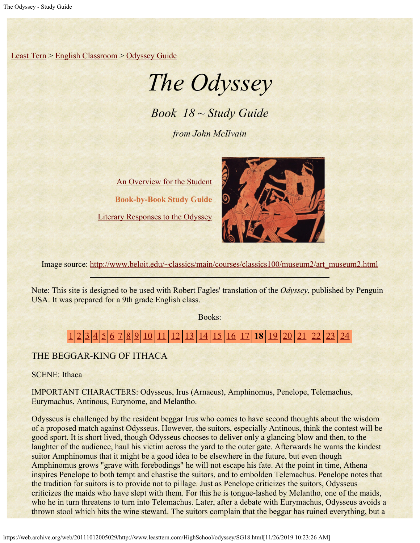[Least Tern](https://web.archive.org/web/20111012005029/http://www.leasttern.com/index.html) > [English Classroom](https://web.archive.org/web/20111012005029/http://www.leasttern.com/Engclass.html) > [Odyssey Guide](https://web.archive.org/web/20111012005029/http://www.leasttern.com/HighSchool/odyssey/Odyssey.html)

# *The Odyssey*

*Book 18 ~ Study Guide*

*from John McIlvain*

[An Overview for the Student](https://web.archive.org/web/20111012005029/http://www.leasttern.com/HighSchool/odyssey/Odyssey1.html) **Book-by-Book Study Guide** [Literary Responses to the Odyssey](https://web.archive.org/web/20111012005029/http://www.leasttern.com/HighSchool/odyssey/Odysseyresponses.html)



Image source: [http://www.beloit.edu/~classics/main/courses/classics100/museum2/art\\_museum2.html](https://web.archive.org/web/20111012005029/http://www.beloit.edu/%7Eclassics/main/courses/classics100/museum2/art_museum2.html)

Note: This site is designed to be used with Robert Fagles' translation of the *Odyssey*, published by Penguin USA. It was prepared for a 9th grade English class.

Books:

# [1](https://web.archive.org/web/20111012005029/http://www.leasttern.com/HighSchool/odyssey/SG1.html) [2](https://web.archive.org/web/20111012005029/http://www.leasttern.com/HighSchool/odyssey/SG2.html) [3](https://web.archive.org/web/20111012005029/http://www.leasttern.com/HighSchool/odyssey/SG3.html) [4](https://web.archive.org/web/20111012005029/http://www.leasttern.com/HighSchool/odyssey/SG4.html) [5](https://web.archive.org/web/20111012005029/http://www.leasttern.com/HighSchool/odyssey/SG5.html) [6](https://web.archive.org/web/20111012005029/http://www.leasttern.com/HighSchool/odyssey/SG6.html) [7](https://web.archive.org/web/20111012005029/http://www.leasttern.com/HighSchool/odyssey/SG7.html) [8](https://web.archive.org/web/20111012005029/http://www.leasttern.com/HighSchool/odyssey/SG8.html) [9](https://web.archive.org/web/20111012005029/http://www.leasttern.com/HighSchool/odyssey/SG9.html) [10](https://web.archive.org/web/20111012005029/http://www.leasttern.com/HighSchool/odyssey/SG10.html) [11](https://web.archive.org/web/20111012005029/http://www.leasttern.com/HighSchool/odyssey/SG11.html) [12](https://web.archive.org/web/20111012005029/http://www.leasttern.com/HighSchool/odyssey/SG12.html) [13](https://web.archive.org/web/20111012005029/http://www.leasttern.com/HighSchool/odyssey/SG13.html) [14](https://web.archive.org/web/20111012005029/http://www.leasttern.com/HighSchool/odyssey/SG14.html) [15](https://web.archive.org/web/20111012005029/http://www.leasttern.com/HighSchool/odyssey/SG15.html) [16](https://web.archive.org/web/20111012005029/http://www.leasttern.com/HighSchool/odyssey/SG16.html) [17](https://web.archive.org/web/20111012005029/http://www.leasttern.com/HighSchool/odyssey/SG17.html) **18** [19](https://web.archive.org/web/20111012005029/http://www.leasttern.com/HighSchool/odyssey/SG19.html) [20](https://web.archive.org/web/20111012005029/http://www.leasttern.com/HighSchool/odyssey/SG20.html) [21](https://web.archive.org/web/20111012005029/http://www.leasttern.com/HighSchool/odyssey/SG21.html) [22](https://web.archive.org/web/20111012005029/http://www.leasttern.com/HighSchool/odyssey/SG22.html) [23](https://web.archive.org/web/20111012005029/http://www.leasttern.com/HighSchool/odyssey/SG23.html) [24](https://web.archive.org/web/20111012005029/http://www.leasttern.com/HighSchool/odyssey/SG24.html)

## THE BEGGAR-KING OF ITHACA

SCENE: Ithaca

IMPORTANT CHARACTERS: Odysseus, Irus (Arnaeus), Amphinomus, Penelope, Telemachus, Eurymachus, Antinous, Eurynome, and Melantho.

Odysseus is challenged by the resident beggar Irus who comes to have second thoughts about the wisdom of a proposed match against Odysseus. However, the suitors, especially Antinous, think the contest will be good sport. It is short lived, though Odysseus chooses to deliver only a glancing blow and then, to the laughter of the audience, haul his victim across the yard to the outer gate. Afterwards he warns the kindest suitor Amphinomus that it might be a good idea to be elsewhere in the future, but even though Amphinomus grows "grave with forebodings" he will not escape his fate. At the point in time, Athena inspires Penelope to both tempt and chastise the suitors, and to embolden Telemachus. Penelope notes that the tradition for suitors is to provide not to pillage. Just as Penelope criticizes the suitors, Odysseus criticizes the maids who have slept with them. For this he is tongue-lashed by Melantho, one of the maids, who he in turn threatens to turn into Telemachus. Later, after a debate with Eurymachus, Odysseus avoids a thrown stool which hits the wine steward. The suitors complain that the beggar has ruined everything, but a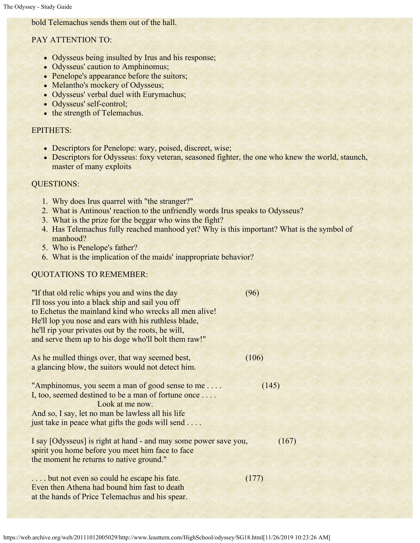### bold Telemachus sends them out of the hall.

#### PAY ATTENTION TO:

- Odysseus being insulted by Irus and his response;
- Odysseus' caution to Amphinomus;
- Penelope's appearance before the suitors;
- Melantho's mockery of Odysseus;
- Odysseus' verbal duel with Eurymachus;
- Odysseus' self-control;
- the strength of Telemachus.

#### EPITHETS:

- Descriptors for Penelope: wary, poised, discreet, wise;
- Descriptors for Odysseus: foxy veteran, seasoned fighter, the one who knew the world, staunch, master of many exploits

#### QUESTIONS:

- 1. Why does Irus quarrel with "the stranger?"
- 2. What is Antinous' reaction to the unfriendly words Irus speaks to Odysseus?
- 3. What is the prize for the beggar who wins the fight?
- 4. Has Telemachus fully reached manhood yet? Why is this important? What is the symbol of manhood?
- 5. Who is Penelope's father?
- 6. What is the implication of the maids' inappropriate behavior?

#### QUOTATIONS TO REMEMBER:

| "If that old relic whips you and wins the day"<br>I'll toss you into a black ship and sail you off<br>to Echetus the mainland kind who wrecks all men alive!<br>He'll lop you nose and ears with his ruthless blade,<br>he'll rip your privates out by the roots, he will,<br>and serve them up to his doge who'll bolt them raw!" | (96)  |
|------------------------------------------------------------------------------------------------------------------------------------------------------------------------------------------------------------------------------------------------------------------------------------------------------------------------------------|-------|
| As he mulled things over, that way seemed best,<br>a glancing blow, the suitors would not detect him.                                                                                                                                                                                                                              | (106) |
| "Amphinomus, you seem a man of good sense to me<br>I, too, seemed destined to be a man of fortune once<br>Look at me now.<br>And so, I say, let no man be lawless all his life<br>just take in peace what gifts the gods will send                                                                                                 | (145) |
| I say [Odysseus] is right at hand - and may some power save you,<br>spirit you home before you meet him face to face<br>the moment he returns to native ground."                                                                                                                                                                   | (167) |
| but not even so could he escape his fate.<br>Even then Athena had bound him fast to death<br>at the hands of Price Telemachus and his spear.                                                                                                                                                                                       | (177) |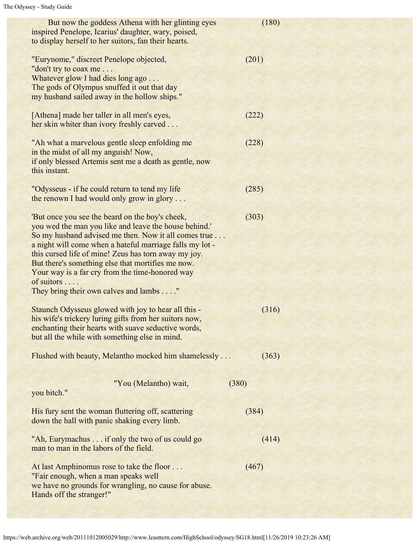| But now the goddess Athena with her glinting eyes<br>inspired Penelope, Icarius' daughter, wary, poised,<br>to display herself to her suitors, fan their hearts.                                                                                                                                                                                                                                                                                     | (180) |  |
|------------------------------------------------------------------------------------------------------------------------------------------------------------------------------------------------------------------------------------------------------------------------------------------------------------------------------------------------------------------------------------------------------------------------------------------------------|-------|--|
| "Eurynome," discreet Penelope objected,<br>"don't try to coax me<br>Whatever glow I had dies long ago<br>The gods of Olympus snuffed it out that day<br>my husband sailed away in the hollow ships."                                                                                                                                                                                                                                                 | (201) |  |
| [Athena] made her taller in all men's eyes,<br>her skin whiter than ivory freshly carved                                                                                                                                                                                                                                                                                                                                                             | (222) |  |
| "Ah what a marvelous gentle sleep enfolding me<br>in the midst of all my anguish! Now,<br>if only blessed Artemis sent me a death as gentle, now<br>this instant.                                                                                                                                                                                                                                                                                    | (228) |  |
| "Odysseus - if he could return to tend my life"<br>the renown I had would only grow in glory                                                                                                                                                                                                                                                                                                                                                         | (285) |  |
| 'But once you see the beard on the boy's cheek,<br>you wed the man you like and leave the house behind.'<br>So my husband advised me then. Now it all comes true<br>a night will come when a hateful marriage falls my lot -<br>this cursed life of mine! Zeus has torn away my joy.<br>But there's something else that mortifies me now.<br>Your way is a far cry from the time-honored way<br>of suitors<br>They bring their own calves and lambs" | (303) |  |
| Staunch Odysseus glowed with joy to hear all this -<br>his wife's trickery luring gifts from her suitors now,<br>enchanting their hearts with suave seductive words,<br>but all the while with something else in mind.                                                                                                                                                                                                                               | (316) |  |
| Flushed with beauty, Melantho mocked him shamelessly                                                                                                                                                                                                                                                                                                                                                                                                 | (363) |  |
| "You (Melantho) wait,<br>you bitch."                                                                                                                                                                                                                                                                                                                                                                                                                 | (380) |  |
| His fury sent the woman fluttering off, scattering<br>down the hall with panic shaking every limb.                                                                                                                                                                                                                                                                                                                                                   | (384) |  |
| "Ah, Eurymachus if only the two of us could go<br>man to man in the labors of the field.                                                                                                                                                                                                                                                                                                                                                             | (414) |  |
| At last Amphinomus rose to take the floor<br>"Fair enough, when a man speaks well<br>we have no grounds for wrangling, no cause for abuse.<br>Hands off the stranger!"                                                                                                                                                                                                                                                                               | (467) |  |
|                                                                                                                                                                                                                                                                                                                                                                                                                                                      |       |  |